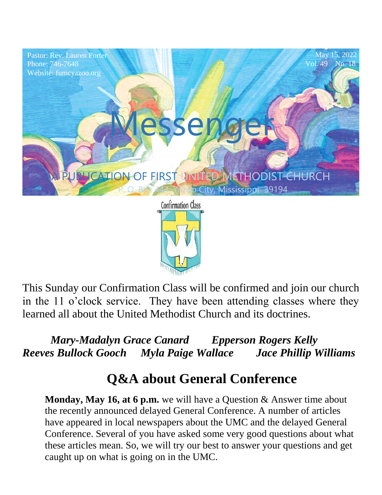

This Sunday our Confirmation Class will be confirmed and join our church in the 11 o'clock service. They have been attending classes where they learned all about the United Methodist Church and its doctrines.

 *Mary-Madalyn Grace Canard Epperson Rogers Kelly Reeves Bullock Gooch Myla Paige Wallace Jace Phillip Williams* 

## **Q&A about General Conference**

**Monday, May 16, at 6 p.m.** we will have a Question & Answer time about the recently announced delayed General Conference. A number of articles have appeared in local newspapers about the UMC and the delayed General Conference. Several of you have asked some very good questions about what these articles mean. So, we will try our best to answer your questions and get caught up on what is going on in the UMC.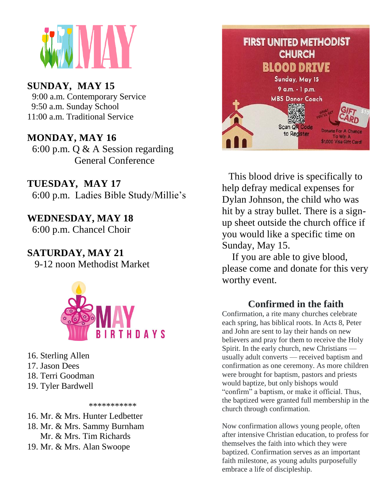

### **SUNDAY***,* **MAY 15**

9:00 a.m. Contemporary Service 9:50 a.m. Sunday School 11:00 a.m. Traditional Service

#### $\bf{A}$   $\bf{V}$   $\bf{M}$   $\bf{V}$   $\bf{V}$ **MONDAY, MAY 16**

General Conference  $6:00$  p.m. Q & A Session regarding

**TUESDAY***,* **MAY 17** 6:00 p.m. Ladies Bible Study/Millie's

**WEDNESDAY, MAY 18** 6:00 p.m. Chancel Choir

### **SATURDAY, MAY 21**

9-12 noon Methodist Market



16. Sterling Allen 17. Jason Dees 18. Terri Goodman 19. Tyler Bardwell

\*\*\*\*\*\*\*\*\*\*\*

- 16. Mr. & Mrs. Hunter Ledbetter
- 18. Mr. & Mrs. Sammy Burnham Mr. & Mrs. Tim Richards
- 19. Mr. & Mrs. Alan Swoope



This blood drive is specifically to help defray medical expenses for Dylan Johnson, the child who was hit by a stray bullet. There is a signup sheet outside the church office if you would like a specific time on Sunday, May 15.

 If you are able to give blood, please come and donate for this very worthy event.

#### **Confirmed in the faith**

Confirmation, a rite many churches celebrate each spring, has biblical roots. In Acts 8, Peter and John are sent to lay their hands on new believers and pray for them to receive the Holy Spirit. In the early church, new Christians usually adult converts — received baptism and confirmation as one ceremony. As more children were brought for baptism, pastors and priests would baptize, but only bishops would "confirm" a baptism, or make it official. Thus, the baptized were granted full membership in the church through confirmation.

Now confirmation allows young people, often after intensive Christian education, to profess for themselves the faith into which they were baptized. Confirmation serves as an important faith milestone, as young adults purposefully embrace a life of discipleship.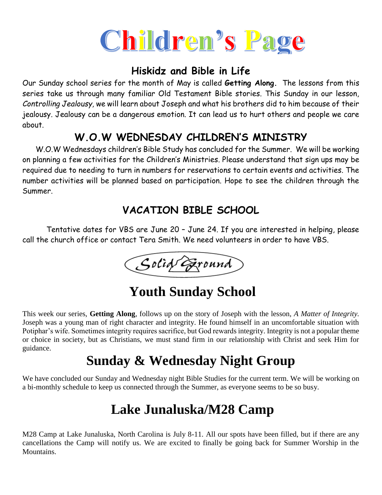

### **Hiskidz and Bible in Life**

Our Sunday school series for the month of May is called **Getting Along.** The lessons from this series take us through many familiar Old Testament Bible stories. This Sunday in our lesson, *Controlling Jealousy,* we will learn about Joseph and what his brothers did to him because of their jealousy*.* Jealousy can be a dangerous emotion. It can lead us to hurt others and people we care about.

### **W.O.W WEDNESDAY CHILDREN'S MINISTRY**

 W.O.W Wednesdays children's Bible Study has concluded for the Summer. We will be working on planning a few activities for the Children's Ministries. Please understand that sign ups may be required due to needing to turn in numbers for reservations to certain events and activities. The number activities will be planned based on participation. Hope to see the children through the Summer.

### **VACATION BIBLE SCHOOL**

 Tentative dates for VBS are June 20 – June 24. If you are interested in helping, please call the church office or contact Tera Smith. We need volunteers in order to have VBS.



## **Youth Sunday School**

This week our series, **Getting Along**, follows up on the story of Joseph with the lesson, *A Matter of Integrity.*  Joseph was a young man of right character and integrity. He found himself in an uncomfortable situation with Potiphar's wife. Sometimes integrity requires sacrifice, but God rewards integrity. Integrity is not a popular theme or choice in society, but as Christians, we must stand firm in our relationship with Christ and seek Him for guidance.

## **Sunday & Wednesday Night Group**

We have concluded our Sunday and Wednesday night Bible Studies for the current term. We will be working on a bi-monthly schedule to keep us connected through the Summer, as everyone seems to be so busy.

## **Lake Junaluska/M28 Camp**

M28 Camp at Lake Junaluska, North Carolina is July 8-11. All our spots have been filled, but if there are any cancellations the Camp will notify us. We are excited to finally be going back for Summer Worship in the Mountains.